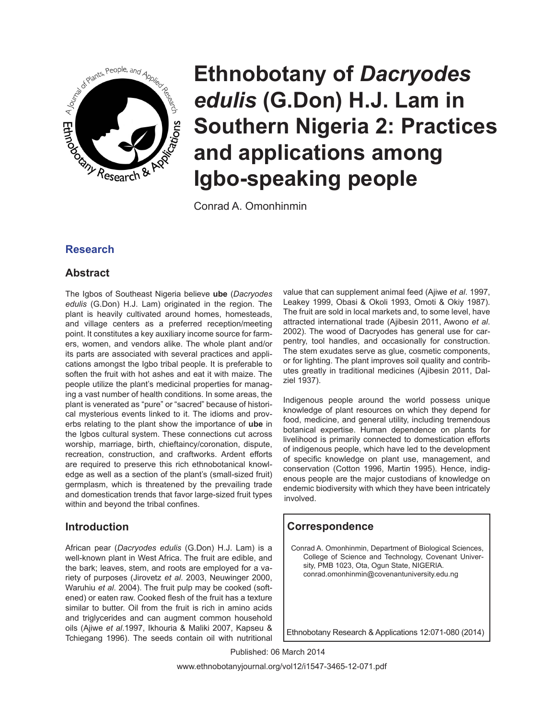

Conrad A. Omonhinmin

# **Research**

# **Abstract**

The Igbos of Southeast Nigeria believe **ube** (*Dacryodes edulis* (G.Don) H.J. Lam) originated in the region. The plant is heavily cultivated around homes, homesteads, and village centers as a preferred reception/meeting point. It constitutes a key auxiliary income source for farmers, women, and vendors alike. The whole plant and/or its parts are associated with several practices and applications amongst the Igbo tribal people. It is preferable to soften the fruit with hot ashes and eat it with maize. The people utilize the plant's medicinal properties for managing a vast number of health conditions. In some areas, the plant is venerated as "pure" or "sacred" because of historical mysterious events linked to it. The idioms and proverbs relating to the plant show the importance of **ube** in the Igbos cultural system. These connections cut across worship, marriage, birth, chieftaincy/coronation, dispute, recreation, construction, and craftworks. Ardent efforts are required to preserve this rich ethnobotanical knowledge as well as a section of the plant's (small-sized fruit) germplasm, which is threatened by the prevailing trade and domestication trends that favor large-sized fruit types within and beyond the tribal confines.

# **Introduction**

African pear (*Dacryodes edulis* (G.Don) H.J. Lam) is a well-known plant in West Africa. The fruit are edible, and the bark; leaves, stem, and roots are employed for a variety of purposes (Jirovetz *et al*. 2003, Neuwinger 2000, Waruhiu *et al*. 2004). The fruit pulp may be cooked (softened) or eaten raw. Cooked flesh of the fruit has a texture similar to butter. Oil from the fruit is rich in amino acids and triglycerides and can augment common household oils (Ajiwe *et al*.1997, Ikhouria & Maliki 2007, Kapseu & Tchiegang 1996). The seeds contain oil with nutritional

value that can supplement animal feed (Ajiwe *et al*. 1997, Leakey 1999, Obasi & Okoli 1993, Omoti & Okiy 1987). The fruit are sold in local markets and, to some level, have attracted international trade (Ajibesin 2011, Awono *et al*. 2002). The wood of Dacryodes has general use for carpentry, tool handles, and occasionally for construction. The stem exudates serve as glue, cosmetic components, or for lighting. The plant improves soil quality and contributes greatly in traditional medicines (Ajibesin 2011, Dalziel 1937).

Indigenous people around the world possess unique knowledge of plant resources on which they depend for food, medicine, and general utility, including tremendous botanical expertise. Human dependence on plants for livelihood is primarily connected to domestication efforts of indigenous people, which have led to the development of specific knowledge on plant use, management, and conservation (Cotton 1996, Martin 1995). Hence, indigenous people are the major custodians of knowledge on endemic biodiversity with which they have been intricately involved.

# **Correspondence**

Conrad A. Omonhinmin, Department of Biological Sciences, College of Science and Technology, Covenant University, PMB 1023, Ota, Ogun State, NIGERIA. conrad.omonhinmin@covenantuniversity.edu.ng

Ethnobotany Research & Applications 12:071-080 (2014)

Published: 06 March 2014

www.ethnobotanyjournal.org/vol12/i1547-3465-12-071.pdf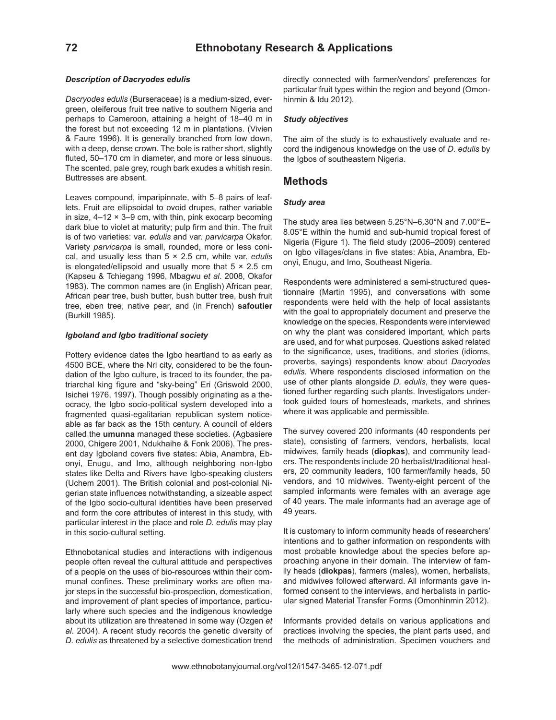### *Description of Dacryodes edulis*

*Dacryodes edulis* (Burseraceae) is a medium-sized, evergreen, oleiferous fruit tree native to southern Nigeria and perhaps to Cameroon, attaining a height of 18–40 m in the forest but not exceeding 12 m in plantations. (Vivien & Faure 1996). It is generally branched from low down, with a deep, dense crown. The bole is rather short, slightly fluted, 50–170 cm in diameter, and more or less sinuous. The scented, pale grey, rough bark exudes a whitish resin. Buttresses are absent.

Leaves compound, imparipinnate, with 5–8 pairs of leaflets. Fruit are ellipsoidal to ovoid drupes, rather variable in size,  $4-12 \times 3-9$  cm, with thin, pink exocarp becoming dark blue to violet at maturity; pulp firm and thin. The fruit is of two varieties: var. *edulis* and var. *parvicarpa* Okafor. Variety *parvicarpa* is small, rounded, more or less conical, and usually less than 5 × 2.5 cm, while var. *edulis* is elongated/ellipsoid and usually more that  $5 \times 2.5$  cm (Kapseu & Tchiegang 1996, Mbagwu *et al*. 2008, Okafor 1983). The common names are (in English) African pear, African pear tree, bush butter, bush butter tree, bush fruit tree, eben tree, native pear, and (in French) **safoutier** (Burkill 1985).

### *Igboland and Igbo traditional society*

Pottery evidence dates the Igbo heartland to as early as 4500 BCE, where the Nri city, considered to be the foundation of the Igbo culture, is traced to its founder, the patriarchal king figure and "sky-being" Eri (Griswold 2000, Isichei 1976, 1997). Though possibly originating as a theocracy, the Igbo socio-political system developed into a fragmented quasi-egalitarian republican system noticeable as far back as the 15th century. A council of elders called the **umunna** managed these societies. (Agbasiere 2000, Chigere 2001, Ndukhaihe & Fonk 2006). The present day Igboland covers five states: Abia, Anambra, Ebonyi, Enugu, and Imo, although neighboring non-Igbo states like Delta and Rivers have Igbo-speaking clusters (Uchem 2001). The British colonial and post-colonial Nigerian state influences notwithstanding, a sizeable aspect of the Igbo socio-cultural identities have been preserved and form the core attributes of interest in this study, with particular interest in the place and role *D. edulis* may play in this socio-cultural setting.

Ethnobotanical studies and interactions with indigenous people often reveal the cultural attitude and perspectives of a people on the uses of bio-resources within their communal confines. These preliminary works are often major steps in the successful bio-prospection, domestication, and improvement of plant species of importance, particularly where such species and the indigenous knowledge about its utilization are threatened in some way (Ozgen *et al*. 2004). A recent study records the genetic diversity of *D. edulis* as threatened by a selective domestication trend

directly connected with farmer/vendors' preferences for particular fruit types within the region and beyond (Omonhinmin & Idu 2012).

### *Study objectives*

The aim of the study is to exhaustively evaluate and record the indigenous knowledge on the use of *D. edulis* by the Igbos of southeastern Nigeria.

### **Methods**

### *Study area*

The study area lies between 5.25°N–6.30°N and 7.00°E– 8.05°E within the humid and sub-humid tropical forest of Nigeria (Figure 1). The field study (2006–2009) centered on Igbo villages/clans in five states: Abia, Anambra, Ebonyi, Enugu, and Imo, Southeast Nigeria.

Respondents were administered a semi-structured questionnaire (Martin 1995), and conversations with some respondents were held with the help of local assistants with the goal to appropriately document and preserve the knowledge on the species. Respondents were interviewed on why the plant was considered important, which parts are used, and for what purposes. Questions asked related to the significance, uses, traditions, and stories (idioms, proverbs, sayings) respondents know about *Dacryodes edulis*. Where respondents disclosed information on the use of other plants alongside *D. edulis*, they were questioned further regarding such plants. Investigators undertook guided tours of homesteads, markets, and shrines where it was applicable and permissible.

The survey covered 200 informants (40 respondents per state), consisting of farmers, vendors, herbalists, local midwives, family heads (**diopkas**), and community leaders. The respondents include 20 herbalist/traditional healers, 20 community leaders, 100 farmer/family heads, 50 vendors, and 10 midwives. Twenty-eight percent of the sampled informants were females with an average age of 40 years. The male informants had an average age of 49 years.

It is customary to inform community heads of researchers' intentions and to gather information on respondents with most probable knowledge about the species before approaching anyone in their domain. The interview of family heads (**diokpas**), farmers (males), women, herbalists, and midwives followed afterward. All informants gave informed consent to the interviews, and herbalists in particular signed Material Transfer Forms (Omonhinmin 2012).

Informants provided details on various applications and practices involving the species, the plant parts used, and the methods of administration. Specimen vouchers and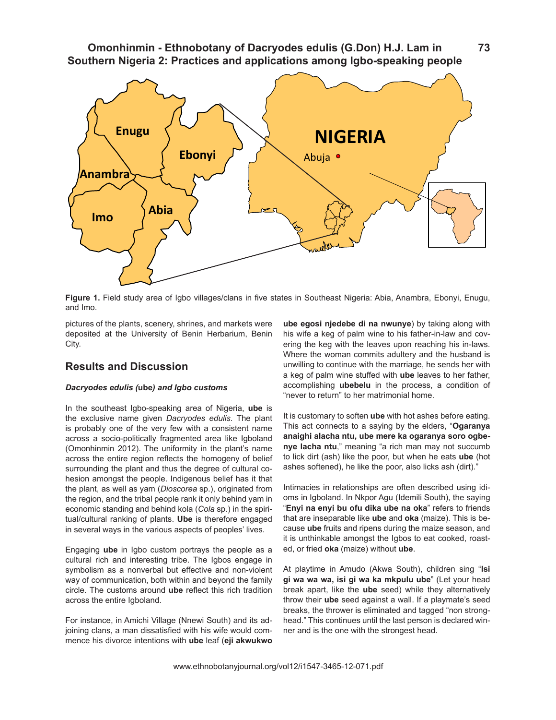

**Figure 1.** Field study area of Igbo villages/clans in five states in Southeast Nigeria: Abia, Anambra, Ebonyi, Enugu, and Imo.

pictures of the plants, scenery, shrines, and markets were deposited at the University of Benin Herbarium, Benin City.

# **Results and Discussion**

### *Dacryodes edulis (***ube***) and Igbo customs*

In the southeast Igbo-speaking area of Nigeria, **ube** is the exclusive name given *Dacryodes edulis*. The plant is probably one of the very few with a consistent name across a socio-politically fragmented area like Igboland (Omonhinmin 2012). The uniformity in the plant's name across the entire region reflects the homogeny of belief surrounding the plant and thus the degree of cultural cohesion amongst the people. Indigenous belief has it that the plant, as well as yam (*Dioscorea* sp.), originated from the region, and the tribal people rank it only behind yam in economic standing and behind kola (*Cola* sp.) in the spiritual/cultural ranking of plants. **Ube** is therefore engaged in several ways in the various aspects of peoples' lives.

Engaging **ube** in Igbo custom portrays the people as a cultural rich and interesting tribe. The Igbos engage in symbolism as a nonverbal but effective and non-violent way of communication, both within and beyond the family circle. The customs around **ube** reflect this rich tradition across the entire Igboland.

For instance, in Amichi Village (Nnewi South) and its adjoining clans, a man dissatisfied with his wife would commence his divorce intentions with **ube** leaf (**eji akwukwo**  **ube egosi njedebe di na nwunye**) by taking along with his wife a keg of palm wine to his father-in-law and covering the keg with the leaves upon reaching his in-laws. Where the woman commits adultery and the husband is unwilling to continue with the marriage, he sends her with a keg of palm wine stuffed with **ube** leaves to her father, accomplishing **ubebelu** in the process, a condition of "never to return" to her matrimonial home.

It is customary to soften **ube** with hot ashes before eating. This act connects to a saying by the elders, "**Ogaranya anaighi alacha ntu, ube mere ka ogaranya soro ogbenye lacha ntu**," meaning "a rich man may not succumb to lick dirt (ash) like the poor, but when he eats **ube** (hot ashes softened), he like the poor, also licks ash (dirt)."

Intimacies in relationships are often described using idioms in Igboland. In Nkpor Agu (Idemili South), the saying "**Enyi na enyi bu ofu dika ube na oka**" refers to friends that are inseparable like **ube** and **oka** (maize). This is because **ube** fruits and ripens during the maize season, and it is unthinkable amongst the Igbos to eat cooked, roasted, or fried **oka** (maize) without **ube**.

At playtime in Amudo (Akwa South), children sing "**Isi gi wa wa wa, isi gi wa ka mkpulu ube**" (Let your head break apart, like the **ube** seed) while they alternatively throw their **ube** seed against a wall. If a playmate's seed breaks, the thrower is eliminated and tagged "non stronghead." This continues until the last person is declared winner and is the one with the strongest head.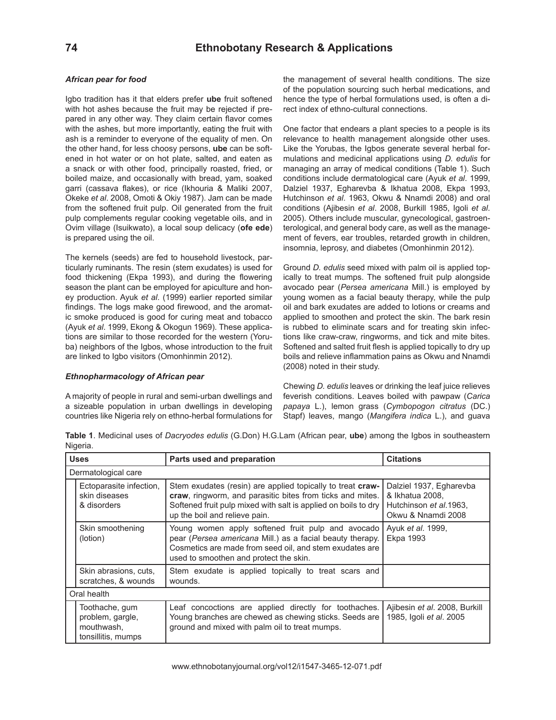### *African pear for food*

Igbo tradition has it that elders prefer **ube** fruit softened with hot ashes because the fruit may be rejected if prepared in any other way. They claim certain flavor comes with the ashes, but more importantly, eating the fruit with ash is a reminder to everyone of the equality of men. On the other hand, for less choosy persons, **ube** can be softened in hot water or on hot plate, salted, and eaten as a snack or with other food, principally roasted, fried, or boiled maize, and occasionally with bread, yam, soaked garri (cassava flakes), or rice (Ikhouria & Maliki 2007, Okeke *et al*. 2008, Omoti & Okiy 1987). Jam can be made from the softened fruit pulp. Oil generated from the fruit pulp complements regular cooking vegetable oils, and in Ovim village (Isuikwato), a local soup delicacy (**ofe ede**) is prepared using the oil.

The kernels (seeds) are fed to household livestock, particularly ruminants. The resin (stem exudates) is used for food thickening (Ekpa 1993), and during the flowering season the plant can be employed for apiculture and honey production. Ayuk *et al*. (1999) earlier reported similar findings. The logs make good firewood, and the aromatic smoke produced is good for curing meat and tobacco (Ayuk *et al*. 1999, Ekong & Okogun 1969). These applications are similar to those recorded for the western (Yoruba) neighbors of the Igbos, whose introduction to the fruit are linked to Igbo visitors (Omonhinmin 2012).

### *Ethnopharmacology of African pear*

A majority of people in rural and semi-urban dwellings and a sizeable population in urban dwellings in developing countries like Nigeria rely on ethno-herbal formulations for

the management of several health conditions. The size of the population sourcing such herbal medications, and hence the type of herbal formulations used, is often a direct index of ethno-cultural connections.

One factor that endears a plant species to a people is its relevance to health management alongside other uses. Like the Yorubas, the Igbos generate several herbal formulations and medicinal applications using *D. edulis* for managing an array of medical conditions (Table 1). Such conditions include dermatological care (Ayuk *et al*. 1999, Dalziel 1937, Egharevba & Ikhatua 2008, Ekpa 1993, Hutchinson *et al*. 1963, Okwu & Nnamdi 2008) and oral conditions (Ajibesin *et al*. 2008, Burkill 1985, Igoli *et al*. 2005). Others include muscular, gynecological, gastroenterological, and general body care, as well as the management of fevers, ear troubles, retarded growth in children, insomnia, leprosy, and diabetes (Omonhinmin 2012).

Ground *D. edulis* seed mixed with palm oil is applied topically to treat mumps. The softened fruit pulp alongside avocado pear (*Persea americana* Mill.) is employed by young women as a facial beauty therapy, while the pulp oil and bark exudates are added to lotions or creams and applied to smoothen and protect the skin. The bark resin is rubbed to eliminate scars and for treating skin infections like craw-craw, ringworms, and tick and mite bites. Softened and salted fruit flesh is applied topically to dry up boils and relieve inflammation pains as Okwu and Nnamdi (2008) noted in their study.

Chewing *D. edulis* leaves or drinking the leaf juice relieves feverish conditions. Leaves boiled with pawpaw (*Carica papaya* L.), lemon grass (*Cymbopogon citratus* (DC.) Stapf) leaves, mango (*Mangifera indica* L.), and guava

Uses **Parts used and preparation Parts used and preparation Parts 1** Citations Dermatological care Ectoparasite infection, skin diseases & disorders Stem exudates (resin) are applied topically to treat **crawcraw**, ringworm, and parasitic bites from ticks and mites. Softened fruit pulp mixed with salt is applied on boils to dry up the boil and relieve pain. Dalziel 1937, Egharevba & Ikhatua 2008, Hutchinson *et al*.1963, Okwu & Nnamdi 2008 Skin smoothening (lotion) Young women apply softened fruit pulp and avocado pear (*Persea americana* Mill.) as a facial beauty therapy. Cosmetics are made from seed oil, and stem exudates are used to smoothen and protect the skin. Ayuk *et al*. 1999, Ekpa 1993 Skin abrasions, cuts, scratches, & wounds Stem exudate is applied topically to treat scars and wounds. Oral health Toothache, gum problem, gargle, mouthwash, tonsillitis, mumps Leaf concoctions are applied directly for toothaches. Young branches are chewed as chewing sticks. Seeds are ground and mixed with palm oil to treat mumps. Ajibesin *et al*. 2008, Burkill 1985, Igoli *et al*. 2005

**Table 1**. Medicinal uses of *Dacryodes edulis* (G.Don) H.G.Lam (African pear, **ube**) among the Igbos in southeastern Nigeria.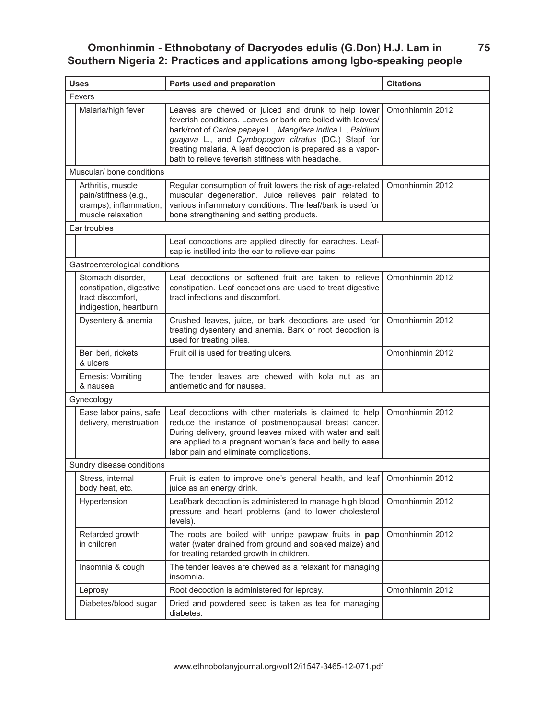**75**

| <b>Uses</b>                    |                                                                                             | Parts used and preparation                                                                                                                                                                                                                                                                                                                                  | <b>Citations</b> |  |
|--------------------------------|---------------------------------------------------------------------------------------------|-------------------------------------------------------------------------------------------------------------------------------------------------------------------------------------------------------------------------------------------------------------------------------------------------------------------------------------------------------------|------------------|--|
| Fevers                         |                                                                                             |                                                                                                                                                                                                                                                                                                                                                             |                  |  |
|                                | Malaria/high fever                                                                          | Leaves are chewed or juiced and drunk to help lower<br>feverish conditions. Leaves or bark are boiled with leaves/<br>bark/root of Carica papaya L., Mangifera indica L., Psidium<br>guajava L., and Cymbopogon citratus (DC.) Stapf for<br>treating malaria. A leaf decoction is prepared as a vapor-<br>bath to relieve feverish stiffness with headache. | Omonhinmin 2012  |  |
| Muscular/ bone conditions      |                                                                                             |                                                                                                                                                                                                                                                                                                                                                             |                  |  |
|                                | Arthritis, muscle<br>pain/stiffness (e.g.,<br>cramps), inflammation,<br>muscle relaxation   | Regular consumption of fruit lowers the risk of age-related<br>muscular degeneration. Juice relieves pain related to<br>various inflammatory conditions. The leaf/bark is used for<br>bone strengthening and setting products.                                                                                                                              | Omonhinmin 2012  |  |
| Ear troubles                   |                                                                                             |                                                                                                                                                                                                                                                                                                                                                             |                  |  |
|                                |                                                                                             | Leaf concoctions are applied directly for earaches. Leaf-<br>sap is instilled into the ear to relieve ear pains.                                                                                                                                                                                                                                            |                  |  |
| Gastroenterological conditions |                                                                                             |                                                                                                                                                                                                                                                                                                                                                             |                  |  |
|                                | Stomach disorder,<br>constipation, digestive<br>tract discomfort,<br>indigestion, heartburn | Leaf decoctions or softened fruit are taken to relieve<br>constipation. Leaf concoctions are used to treat digestive<br>tract infections and discomfort.                                                                                                                                                                                                    | Omonhinmin 2012  |  |
|                                | Dysentery & anemia                                                                          | Crushed leaves, juice, or bark decoctions are used for<br>treating dysentery and anemia. Bark or root decoction is<br>used for treating piles.                                                                                                                                                                                                              | Omonhinmin 2012  |  |
|                                | Beri beri, rickets,<br>& ulcers                                                             | Fruit oil is used for treating ulcers.                                                                                                                                                                                                                                                                                                                      | Omonhinmin 2012  |  |
|                                | Emesis: Vomiting<br>& nausea                                                                | The tender leaves are chewed with kola nut as an<br>antiemetic and for nausea.                                                                                                                                                                                                                                                                              |                  |  |
| Gynecology                     |                                                                                             |                                                                                                                                                                                                                                                                                                                                                             |                  |  |
|                                | Ease labor pains, safe<br>delivery, menstruation                                            | Leaf decoctions with other materials is claimed to help<br>reduce the instance of postmenopausal breast cancer.<br>During delivery, ground leaves mixed with water and salt<br>are applied to a pregnant woman's face and belly to ease<br>labor pain and eliminate complications.                                                                          | Omonhinmin 2012  |  |
|                                | Sundry disease conditions                                                                   |                                                                                                                                                                                                                                                                                                                                                             |                  |  |
|                                | Stress, internal<br>body heat, etc.                                                         | Fruit is eaten to improve one's general health, and leaf   Omonhinmin 2012<br>juice as an energy drink.                                                                                                                                                                                                                                                     |                  |  |
|                                | Hypertension                                                                                | Leaf/bark decoction is administered to manage high blood<br>pressure and heart problems (and to lower cholesterol<br>levels).                                                                                                                                                                                                                               | Omonhinmin 2012  |  |
|                                | Retarded growth<br>in children                                                              | The roots are boiled with unripe pawpaw fruits in pap<br>water (water drained from ground and soaked maize) and<br>for treating retarded growth in children.                                                                                                                                                                                                | Omonhinmin 2012  |  |
|                                | Insomnia & cough                                                                            | The tender leaves are chewed as a relaxant for managing<br>insomnia.                                                                                                                                                                                                                                                                                        |                  |  |
|                                | Leprosy                                                                                     | Root decoction is administered for leprosy.                                                                                                                                                                                                                                                                                                                 | Omonhinmin 2012  |  |
|                                | Diabetes/blood sugar                                                                        | Dried and powdered seed is taken as tea for managing<br>diabetes.                                                                                                                                                                                                                                                                                           |                  |  |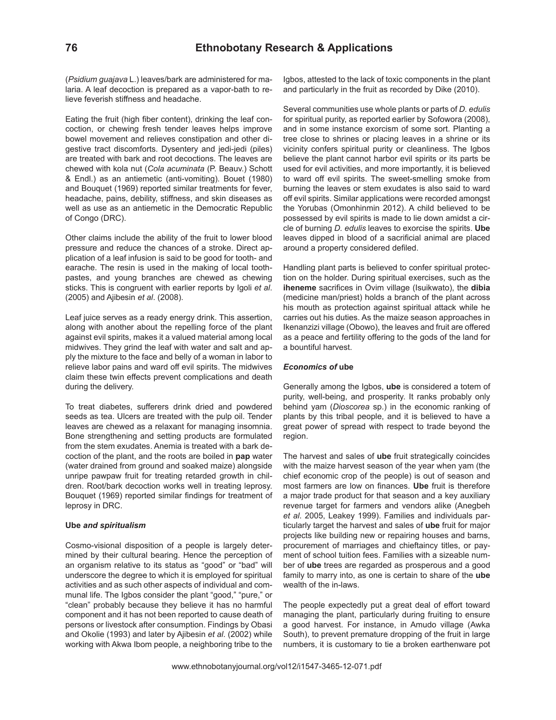(*Psidium guajava* L.) leaves/bark are administered for malaria. A leaf decoction is prepared as a vapor-bath to relieve feverish stiffness and headache.

Eating the fruit (high fiber content), drinking the leaf concoction, or chewing fresh tender leaves helps improve bowel movement and relieves constipation and other digestive tract discomforts. Dysentery and jedi-jedi (piles) are treated with bark and root decoctions. The leaves are chewed with kola nut (*Cola acuminata* (P. Beauv.) Schott & Endl.) as an antiemetic (anti-vomiting). Bouet (1980) and Bouquet (1969) reported similar treatments for fever, headache, pains, debility, stiffness, and skin diseases as well as use as an antiemetic in the Democratic Republic of Congo (DRC).

Other claims include the ability of the fruit to lower blood pressure and reduce the chances of a stroke. Direct application of a leaf infusion is said to be good for tooth- and earache. The resin is used in the making of local toothpastes, and young branches are chewed as chewing sticks. This is congruent with earlier reports by Igoli *et al*. (2005) and Ajibesin *et al*. (2008).

Leaf juice serves as a ready energy drink. This assertion, along with another about the repelling force of the plant against evil spirits, makes it a valued material among local midwives. They grind the leaf with water and salt and apply the mixture to the face and belly of a woman in labor to relieve labor pains and ward off evil spirits. The midwives claim these twin effects prevent complications and death during the delivery.

To treat diabetes, sufferers drink dried and powdered seeds as tea. Ulcers are treated with the pulp oil. Tender leaves are chewed as a relaxant for managing insomnia. Bone strengthening and setting products are formulated from the stem exudates. Anemia is treated with a bark decoction of the plant, and the roots are boiled in **pap** water (water drained from ground and soaked maize) alongside unripe pawpaw fruit for treating retarded growth in children. Root/bark decoction works well in treating leprosy. Bouquet (1969) reported similar findings for treatment of leprosy in DRC.

### **Ube** *and spiritualism*

Cosmo-visional disposition of a people is largely determined by their cultural bearing. Hence the perception of an organism relative to its status as "good" or "bad" will underscore the degree to which it is employed for spiritual activities and as such other aspects of individual and communal life. The Igbos consider the plant "good," "pure," or "clean" probably because they believe it has no harmful component and it has not been reported to cause death of persons or livestock after consumption. Findings by Obasi and Okolie (1993) and later by Ajibesin *et al*. (2002) while working with Akwa Ibom people, a neighboring tribe to the

Igbos, attested to the lack of toxic components in the plant and particularly in the fruit as recorded by Dike (2010).

Several communities use whole plants or parts of *D. edulis*  for spiritual purity, as reported earlier by Sofowora (2008), and in some instance exorcism of some sort. Planting a tree close to shrines or placing leaves in a shrine or its vicinity confers spiritual purity or cleanliness. The Igbos believe the plant cannot harbor evil spirits or its parts be used for evil activities, and more importantly, it is believed to ward off evil spirits. The sweet-smelling smoke from burning the leaves or stem exudates is also said to ward off evil spirits. Similar applications were recorded amongst the Yorubas (Omonhinmin 2012). A child believed to be possessed by evil spirits is made to lie down amidst a circle of burning *D. edulis* leaves to exorcise the spirits. **Ube** leaves dipped in blood of a sacrificial animal are placed around a property considered defiled.

Handling plant parts is believed to confer spiritual protection on the holder. During spiritual exercises, such as the **iheneme** sacrifices in Ovim village (Isuikwato), the **dibia** (medicine man/priest) holds a branch of the plant across his mouth as protection against spiritual attack while he carries out his duties. As the maize season approaches in Ikenanzizi village (Obowo), the leaves and fruit are offered as a peace and fertility offering to the gods of the land for a bountiful harvest.

### *Economics of* **ube**

Generally among the Igbos, **ube** is considered a totem of purity, well-being, and prosperity. It ranks probably only behind yam (*Dioscorea* sp.) in the economic ranking of plants by this tribal people, and it is believed to have a great power of spread with respect to trade beyond the region.

The harvest and sales of **ube** fruit strategically coincides with the maize harvest season of the year when yam (the chief economic crop of the people) is out of season and most farmers are low on finances. **Ube** fruit is therefore a major trade product for that season and a key auxiliary revenue target for farmers and vendors alike (Anegbeh *et al*. 2005, Leakey 1999). Families and individuals particularly target the harvest and sales of **ube** fruit for major projects like building new or repairing houses and barns, procurement of marriages and chieftaincy titles, or payment of school tuition fees. Families with a sizeable number of **ube** trees are regarded as prosperous and a good family to marry into, as one is certain to share of the **ube** wealth of the in-laws.

The people expectedly put a great deal of effort toward managing the plant, particularly during fruiting to ensure a good harvest. For instance, in Amudo village (Awka South), to prevent premature dropping of the fruit in large numbers, it is customary to tie a broken earthenware pot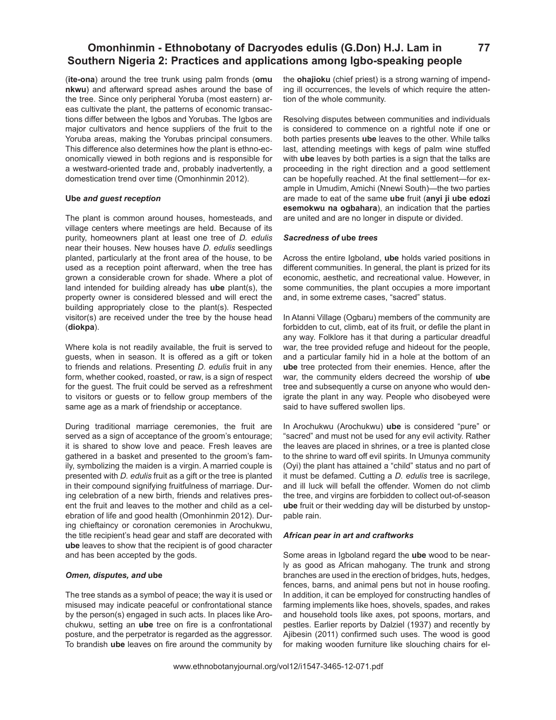(**ite-ona**) around the tree trunk using palm fronds (**omu nkwu**) and afterward spread ashes around the base of the tree. Since only peripheral Yoruba (most eastern) areas cultivate the plant, the patterns of economic transactions differ between the Igbos and Yorubas. The Igbos are major cultivators and hence suppliers of the fruit to the Yoruba areas, making the Yorubas principal consumers. This difference also determines how the plant is ethno-economically viewed in both regions and is responsible for a westward-oriented trade and, probably inadvertently, a domestication trend over time (Omonhinmin 2012).

### **Ube** *and guest reception*

The plant is common around houses, homesteads, and village centers where meetings are held. Because of its purity, homeowners plant at least one tree of *D. edulis*  near their houses. New houses have *D. edulis* seedlings planted, particularly at the front area of the house, to be used as a reception point afterward, when the tree has grown a considerable crown for shade. Where a plot of land intended for building already has **ube** plant(s), the property owner is considered blessed and will erect the building appropriately close to the plant(s). Respected visitor(s) are received under the tree by the house head (**diokpa**).

Where kola is not readily available, the fruit is served to guests, when in season. It is offered as a gift or token to friends and relations. Presenting *D. edulis* fruit in any form, whether cooked, roasted, or raw, is a sign of respect for the guest. The fruit could be served as a refreshment to visitors or guests or to fellow group members of the same age as a mark of friendship or acceptance.

During traditional marriage ceremonies, the fruit are served as a sign of acceptance of the groom's entourage; it is shared to show love and peace. Fresh leaves are gathered in a basket and presented to the groom's family, symbolizing the maiden is a virgin. A married couple is presented with *D. edulis* fruit as a gift or the tree is planted in their compound signifying fruitfulness of marriage. During celebration of a new birth, friends and relatives present the fruit and leaves to the mother and child as a celebration of life and good health (Omonhinmin 2012). During chieftaincy or coronation ceremonies in Arochukwu, the title recipient's head gear and staff are decorated with **ube** leaves to show that the recipient is of good character and has been accepted by the gods.

### *Omen, disputes, and* **ube**

The tree stands as a symbol of peace; the way it is used or misused may indicate peaceful or confrontational stance by the person(s) engaged in such acts. In places like Arochukwu, setting an **ube** tree on fire is a confrontational posture, and the perpetrator is regarded as the aggressor. To brandish **ube** leaves on fire around the community by

the **ohajioku** (chief priest) is a strong warning of impending ill occurrences, the levels of which require the attention of the whole community.

**77**

Resolving disputes between communities and individuals is considered to commence on a rightful note if one or both parties presents **ube** leaves to the other. While talks last, attending meetings with kegs of palm wine stuffed with **ube** leaves by both parties is a sign that the talks are proceeding in the right direction and a good settlement can be hopefully reached. At the final settlement—for example in Umudim, Amichi (Nnewi South)—the two parties are made to eat of the same **ube** fruit (**anyi ji ube edozi esemokwu na ogbahara**), an indication that the parties are united and are no longer in dispute or divided.

### *Sacredness of* **ube** *trees*

Across the entire Igboland, **ube** holds varied positions in different communities. In general, the plant is prized for its economic, aesthetic, and recreational value. However, in some communities, the plant occupies a more important and, in some extreme cases, "sacred" status.

In Atanni Village (Ogbaru) members of the community are forbidden to cut, climb, eat of its fruit, or defile the plant in any way. Folklore has it that during a particular dreadful war, the tree provided refuge and hideout for the people, and a particular family hid in a hole at the bottom of an **ube** tree protected from their enemies. Hence, after the war, the community elders decreed the worship of **ube** tree and subsequently a curse on anyone who would denigrate the plant in any way. People who disobeyed were said to have suffered swollen lips.

In Arochukwu (Arochukwu) **ube** is considered "pure" or "sacred" and must not be used for any evil activity. Rather the leaves are placed in shrines, or a tree is planted close to the shrine to ward off evil spirits. In Umunya community (Oyi) the plant has attained a "child" status and no part of it must be defamed. Cutting a *D. edulis* tree is sacrilege, and ill luck will befall the offender. Women do not climb the tree, and virgins are forbidden to collect out-of-season **ube** fruit or their wedding day will be disturbed by unstoppable rain.

### *African pear in art and craftworks*

Some areas in Igboland regard the **ube** wood to be nearly as good as African mahogany. The trunk and strong branches are used in the erection of bridges, huts, hedges, fences, barns, and animal pens but not in house roofing. In addition, it can be employed for constructing handles of farming implements like hoes, shovels, spades, and rakes and household tools like axes, pot spoons, mortars, and pestles. Earlier reports by Dalziel (1937) and recently by Ajibesin (2011) confirmed such uses. The wood is good for making wooden furniture like slouching chairs for el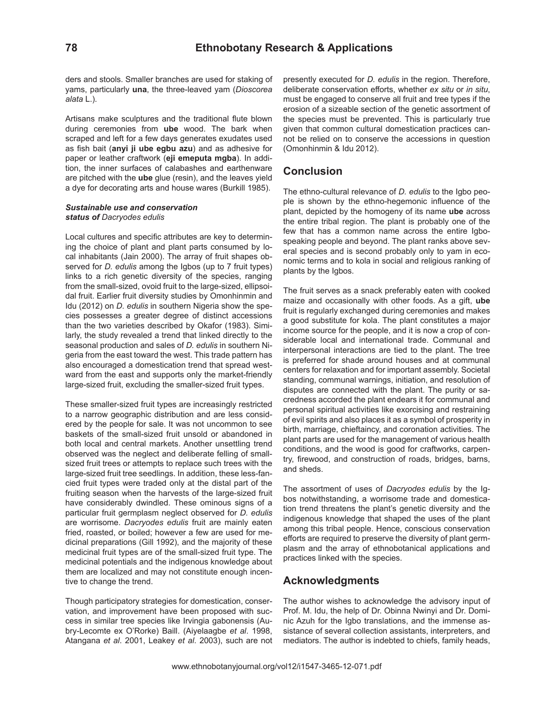ders and stools. Smaller branches are used for staking of yams, particularly **una**, the three-leaved yam (*Dioscorea alata* L.).

Artisans make sculptures and the traditional flute blown during ceremonies from **ube** wood. The bark when scraped and left for a few days generates exudates used as fish bait (**anyi ji ube egbu azu**) and as adhesive for paper or leather craftwork (**eji emeputa mgba**). In addition, the inner surfaces of calabashes and earthenware are pitched with the **ube** glue (resin), and the leaves yield a dye for decorating arts and house wares (Burkill 1985).

### *Sustainable use and conservation status of Dacryodes edulis*

Local cultures and specific attributes are key to determining the choice of plant and plant parts consumed by local inhabitants (Jain 2000). The array of fruit shapes observed for *D. edulis* among the Igbos (up to 7 fruit types) links to a rich genetic diversity of the species, ranging from the small-sized, ovoid fruit to the large-sized, ellipsoidal fruit. Earlier fruit diversity studies by Omonhinmin and Idu (2012) on *D. edulis* in southern Nigeria show the species possesses a greater degree of distinct accessions than the two varieties described by Okafor (1983). Similarly, the study revealed a trend that linked directly to the seasonal production and sales of *D. edulis* in southern Nigeria from the east toward the west. This trade pattern has also encouraged a domestication trend that spread westward from the east and supports only the market-friendly large-sized fruit, excluding the smaller-sized fruit types.

These smaller-sized fruit types are increasingly restricted to a narrow geographic distribution and are less considered by the people for sale. It was not uncommon to see baskets of the small-sized fruit unsold or abandoned in both local and central markets. Another unsettling trend observed was the neglect and deliberate felling of smallsized fruit trees or attempts to replace such trees with the large-sized fruit tree seedlings. In addition, these less-fancied fruit types were traded only at the distal part of the fruiting season when the harvests of the large-sized fruit have considerably dwindled. These ominous signs of a particular fruit germplasm neglect observed for *D. edulis*  are worrisome. *Dacryodes edulis* fruit are mainly eaten fried, roasted, or boiled; however a few are used for medicinal preparations (Gill 1992), and the majority of these medicinal fruit types are of the small-sized fruit type. The medicinal potentials and the indigenous knowledge about them are localized and may not constitute enough incentive to change the trend.

Though participatory strategies for domestication, conservation, and improvement have been proposed with success in similar tree species like Irvingia gabonensis (Aubry-Lecomte ex O'Rorke) Baill. (Aiyelaagbe *et al*. 1998, Atangana *et al*. 2001, Leakey *et al*. 2003), such are not presently executed for *D. edulis* in the region. Therefore, deliberate conservation efforts, whether *ex situ* or *in situ*, must be engaged to conserve all fruit and tree types if the erosion of a sizeable section of the genetic assortment of the species must be prevented. This is particularly true given that common cultural domestication practices cannot be relied on to conserve the accessions in question (Omonhinmin & Idu 2012).

# **Conclusion**

The ethno-cultural relevance of *D. edulis* to the Igbo people is shown by the ethno-hegemonic influence of the plant, depicted by the homogeny of its name **ube** across the entire tribal region. The plant is probably one of the few that has a common name across the entire Igbospeaking people and beyond. The plant ranks above several species and is second probably only to yam in economic terms and to kola in social and religious ranking of plants by the Igbos.

The fruit serves as a snack preferably eaten with cooked maize and occasionally with other foods. As a gift, **ube** fruit is regularly exchanged during ceremonies and makes a good substitute for kola. The plant constitutes a major income source for the people, and it is now a crop of considerable local and international trade. Communal and interpersonal interactions are tied to the plant. The tree is preferred for shade around houses and at communal centers for relaxation and for important assembly. Societal standing, communal warnings, initiation, and resolution of disputes are connected with the plant. The purity or sacredness accorded the plant endears it for communal and personal spiritual activities like exorcising and restraining of evil spirits and also places it as a symbol of prosperity in birth, marriage, chieftaincy, and coronation activities. The plant parts are used for the management of various health conditions, and the wood is good for craftworks, carpentry, firewood, and construction of roads, bridges, barns, and sheds.

The assortment of uses of *Dacryodes edulis* by the Igbos notwithstanding, a worrisome trade and domestication trend threatens the plant's genetic diversity and the indigenous knowledge that shaped the uses of the plant among this tribal people. Hence, conscious conservation efforts are required to preserve the diversity of plant germplasm and the array of ethnobotanical applications and practices linked with the species.

# **Acknowledgments**

The author wishes to acknowledge the advisory input of Prof. M. Idu, the help of Dr. Obinna Nwinyi and Dr. Dominic Azuh for the Igbo translations, and the immense assistance of several collection assistants, interpreters, and mediators. The author is indebted to chiefs, family heads,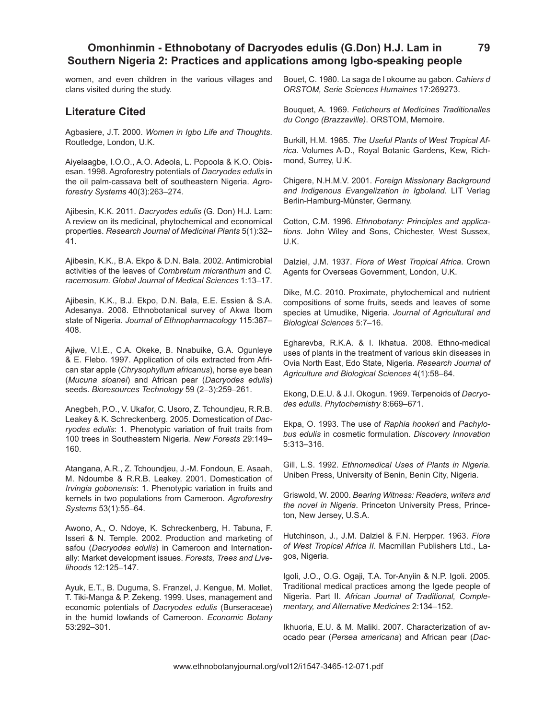women, and even children in the various villages and clans visited during the study.

## **Literature Cited**

Agbasiere, J.T. 2000. *Women in Igbo Life and Thoughts*. Routledge, London, U.K.

Aiyelaagbe, I.O.O., A.O. Adeola, L. Popoola & K.O. Obisesan. 1998. Agroforestry potentials of *Dacryodes edulis* in the oil palm-cassava belt of southeastern Nigeria. *Agroforestry Systems* 40(3):263–274.

Ajibesin, K.K. 2011. *Dacryodes edulis* (G. Don) H.J. Lam: A review on its medicinal, phytochemical and economical properties. *Research Journal of Medicinal Plants* 5(1):32– 41.

Ajibesin, K.K., B.A. Ekpo & D.N. Bala. 2002. Antimicrobial activities of the leaves of *Combretum micranthum* and *C. racemosum*. *Global Journal of Medical Sciences* 1:13–17.

Ajibesin, K.K., B.J. Ekpo, D.N. Bala, E.E. Essien & S.A. Adesanya. 2008. Ethnobotanical survey of Akwa Ibom state of Nigeria. *Journal of Ethnopharmacology* 115:387– 408.

Ajiwe, V.I.E., C.A. Okeke, B. Nnabuike, G.A. Ogunleye & E. Flebo. 1997. Application of oils extracted from African star apple (*Chrysophyllum africanus*), horse eye bean (*Mucuna sloanei*) and African pear (*Dacryodes edulis*) seeds. *Bioresources Technology* 59 (2–3):259–261.

Anegbeh, P.O., V. Ukafor, C. Usoro, Z. Tchoundjeu, R.R.B. Leakey & K. Schreckenberg. 2005. Domestication of *Dacryodes edulis*: 1. Phenotypic variation of fruit traits from 100 trees in Southeastern Nigeria. *New Forests* 29:149– 160.

Atangana, A.R., Z. Tchoundjeu, J.-M. Fondoun, E. Asaah, M. Ndoumbe & R.R.B. Leakey. 2001. Domestication of *Irvingia gobonensis*: 1. Phenotypic variation in fruits and kernels in two populations from Cameroon. *Agroforestry Systems* 53(1):55–64.

Awono, A., O. Ndoye, K. Schreckenberg, H. Tabuna, F. Isseri & N. Temple. 2002. Production and marketing of safou (*Dacryodes edulis*) in Cameroon and Internationally: Market development issues. *Forests, Trees and Livelihoods* 12:125–147.

Ayuk, E.T., B. Duguma, S. Franzel, J. Kengue, M. Mollet, T. Tiki-Manga & P. Zekeng. 1999. Uses, management and economic potentials of *Dacryodes edulis* (Burseraceae) in the humid lowlands of Cameroon. *Economic Botany*  53:292–301.

Bouet, C. 1980. La saga de l okoume au gabon. *Cahiers d ORSTOM, Serie Sciences Humaines* 17:269273.

Bouquet, A. 1969. *Feticheurs et Medicines Traditionalles du Congo (Brazzaville)*. ORSTOM, Memoire.

Burkill, H.M. 1985. *The Useful Plants of West Tropical Africa*. Volumes A-D., Royal Botanic Gardens, Kew, Richmond, Surrey, U.K.

Chigere, N.H.M.V. 2001. *Foreign Missionary Background and Indigenous Evangelization in Igboland*. LIT Verlag Berlin-Hamburg-Münster, Germany.

Cotton, C.M. 1996. *Ethnobotany: Principles and applications*. John Wiley and Sons, Chichester, West Sussex, U.K.

Dalziel, J.M. 1937. *Flora of West Tropical Africa*. Crown Agents for Overseas Government, London, U.K.

Dike, M.C. 2010. Proximate, phytochemical and nutrient compositions of some fruits, seeds and leaves of some species at Umudike, Nigeria. *Journal of Agricultural and Biological Sciences* 5:7–16.

Egharevba, R.K.A. & I. Ikhatua. 2008. Ethno-medical uses of plants in the treatment of various skin diseases in Ovia North East, Edo State, Nigeria. *Research Journal of Agriculture and Biological Sciences* 4(1):58–64.

Ekong, D.E.U. & J.I. Okogun. 1969. Terpenoids of *Dacryodes edulis*. *Phytochemistry* 8:669–671.

Ekpa, O. 1993. The use of *Raphia hookeri* and *Pachylobus edulis* in cosmetic formulation. *Discovery Innovation*  5:313–316.

Gill, L.S. 1992. *Ethnomedical Uses of Plants in Nigeria*. Uniben Press, University of Benin, Benin City, Nigeria.

Griswold, W. 2000. *Bearing Witness: Readers, writers and the novel in Nigeria*. Princeton University Press, Princeton, New Jersey, U.S.A.

Hutchinson, J., J.M. Dalziel & F.N. Herpper. 1963. *Flora of West Tropical Africa II*. Macmillan Publishers Ltd., Lagos, Nigeria.

Igoli, J.O., O.G. Ogaji, T.A. Tor-Anyiin & N.P. Igoli. 2005. Traditional medical practices among the Igede people of Nigeria. Part II. *African Journal of Traditional, Complementary, and Alternative Medicines* 2:134–152.

Ikhuoria, E.U. & M. Maliki. 2007. Characterization of avocado pear (*Persea americana*) and African pear (*Dac-*